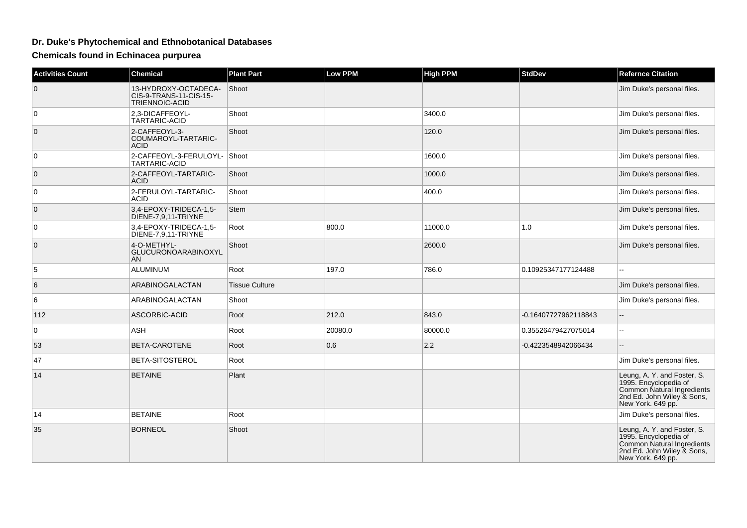## **Dr. Duke's Phytochemical and Ethnobotanical Databases**

**Chemicals found in Echinacea purpurea**

| <b>Activities Count</b> | <b>Chemical</b>                                                  | <b>Plant Part</b>     | <b>Low PPM</b> | <b>High PPM</b> | <b>StdDev</b>        | <b>Refernce Citation</b>                                                                                                              |
|-------------------------|------------------------------------------------------------------|-----------------------|----------------|-----------------|----------------------|---------------------------------------------------------------------------------------------------------------------------------------|
| $\mathbf 0$             | 13-HYDROXY-OCTADECA-<br>CIS-9-TRANS-11-CIS-15-<br>TRIENNOIC-ACID | Shoot                 |                |                 |                      | Jim Duke's personal files.                                                                                                            |
| 0                       | 2,3-DICAFFEOYL-<br>TARTARIC-ACID                                 | Shoot                 |                | 3400.0          |                      | Jim Duke's personal files.                                                                                                            |
| $\mathbf 0$             | 2-CAFFEOYL-3-<br>COUMAROYL-TARTARIC-<br><b>ACID</b>              | Shoot                 |                | 120.0           |                      | Jim Duke's personal files.                                                                                                            |
| $\mathbf 0$             | 2-CAFFEOYL-3-FERULOYL- Shoot<br>TARTARIC-ACID                    |                       |                | 1600.0          |                      | Jim Duke's personal files.                                                                                                            |
| $\mathbf 0$             | 2-CAFFEOYL-TARTARIC-<br><b>ACID</b>                              | Shoot                 |                | 1000.0          |                      | Jim Duke's personal files.                                                                                                            |
| 0                       | 2-FERULOYL-TARTARIC-<br><b>ACID</b>                              | Shoot                 |                | 400.0           |                      | Jim Duke's personal files.                                                                                                            |
| $\pmb{0}$               | 3,4-EPOXY-TRIDECA-1,5-<br>DIENE-7,9,11-TRIYNE                    | Stem                  |                |                 |                      | Jim Duke's personal files.                                                                                                            |
| 0                       | 3,4-EPOXY-TRIDECA-1,5-<br>DIENE-7,9,11-TRIYNE                    | Root                  | 800.0          | 11000.0         | 1.0                  | Jim Duke's personal files.                                                                                                            |
| $\mathbf{0}$            | 4-O-METHYL-<br>GLUCURONOARABINOXYL<br><b>AN</b>                  | Shoot                 |                | 2600.0          |                      | Jim Duke's personal files.                                                                                                            |
| 5                       | <b>ALUMINUM</b>                                                  | Root                  | 197.0          | 786.0           | 0.10925347177124488  |                                                                                                                                       |
| 6                       | ARABINOGALACTAN                                                  | <b>Tissue Culture</b> |                |                 |                      | Jim Duke's personal files.                                                                                                            |
| 6                       | ARABINOGALACTAN                                                  | Shoot                 |                |                 |                      | Jim Duke's personal files.                                                                                                            |
| 112                     | ASCORBIC-ACID                                                    | Root                  | 212.0          | 843.0           | -0.16407727962118843 | $-$                                                                                                                                   |
| 0                       | <b>ASH</b>                                                       | Root                  | 20080.0        | 80000.0         | 0.35526479427075014  | L.                                                                                                                                    |
| 53                      | BETA-CAROTENE                                                    | Root                  | 0.6            | 2.2             | -0.4223548942066434  | $\mathord{\hspace{1pt}\text{--}\hspace{1pt}}$                                                                                         |
| 47                      | BETA-SITOSTEROL                                                  | Root                  |                |                 |                      | Jim Duke's personal files.                                                                                                            |
| 14                      | <b>BETAINE</b>                                                   | Plant                 |                |                 |                      | Leung, A. Y. and Foster, S.<br>1995. Encyclopedia of<br>Common Natural Ingredients<br>2nd Ed. John Wiley & Sons,<br>New York. 649 pp. |
| 14                      | <b>BETAINE</b>                                                   | Root                  |                |                 |                      | Jim Duke's personal files.                                                                                                            |
| 35                      | <b>BORNEOL</b>                                                   | Shoot                 |                |                 |                      | Leung, A. Y. and Foster, S.<br>1995. Encyclopedia of<br>Common Natural Ingredients<br>2nd Ed. John Wiley & Sons,<br>New York. 649 pp. |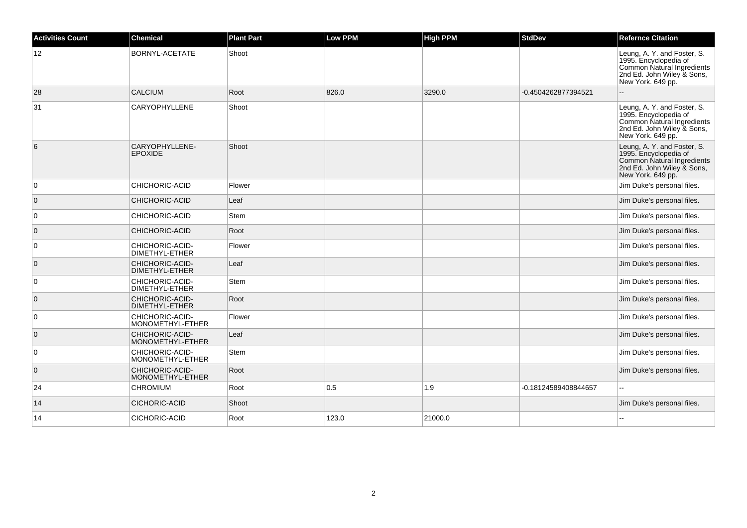| <b>Activities Count</b> | <b>Chemical</b>                     | <b>Plant Part</b> | Low PPM | <b>High PPM</b> | <b>StdDev</b>        | <b>Refernce Citation</b>                                                                                                              |
|-------------------------|-------------------------------------|-------------------|---------|-----------------|----------------------|---------------------------------------------------------------------------------------------------------------------------------------|
| 12                      | BORNYL-ACETATE                      | Shoot             |         |                 |                      | Leung, A. Y. and Foster, S.<br>1995. Encyclopedia of<br>Common Natural Ingredients<br>2nd Ed. John Wiley & Sons,<br>New York. 649 pp. |
| 28                      | <b>CALCIUM</b>                      | Root              | 826.0   | 3290.0          | -0.4504262877394521  |                                                                                                                                       |
| 31                      | <b>CARYOPHYLLENE</b>                | Shoot             |         |                 |                      | Leung, A. Y. and Foster, S.<br>1995. Encyclopedia of<br>Common Natural Ingredients<br>2nd Ed. John Wiley & Sons,<br>New York. 649 pp. |
| 6                       | CARYOPHYLLENE-<br><b>EPOXIDE</b>    | Shoot             |         |                 |                      | Leung, A. Y. and Foster, S.<br>1995. Encyclopedia of<br>Common Natural Ingredients<br>2nd Ed. John Wiley & Sons,<br>New York. 649 pp. |
| $\overline{0}$          | CHICHORIC-ACID                      | Flower            |         |                 |                      | Jim Duke's personal files.                                                                                                            |
| $\overline{0}$          | CHICHORIC-ACID                      | Leaf              |         |                 |                      | Jim Duke's personal files.                                                                                                            |
| $\overline{0}$          | CHICHORIC-ACID                      | Stem              |         |                 |                      | Jim Duke's personal files.                                                                                                            |
| $\overline{0}$          | <b>CHICHORIC-ACID</b>               | Root              |         |                 |                      | Jim Duke's personal files.                                                                                                            |
| $\overline{0}$          | CHICHORIC-ACID-<br>DIMETHYL-ETHER   | Flower            |         |                 |                      | Jim Duke's personal files.                                                                                                            |
| $\overline{0}$          | CHICHORIC-ACID-<br>DIMETHYL-ETHER   | Leaf              |         |                 |                      | Jim Duke's personal files.                                                                                                            |
| $\overline{0}$          | CHICHORIC-ACID-<br>DIMETHYL-ETHER   | <b>Stem</b>       |         |                 |                      | Jim Duke's personal files.                                                                                                            |
| $\overline{0}$          | CHICHORIC-ACID-<br>DIMETHYL-ETHER   | Root              |         |                 |                      | Jim Duke's personal files.                                                                                                            |
| $\overline{0}$          | CHICHORIC-ACID-<br>MONOMETHYL-ETHER | Flower            |         |                 |                      | Jim Duke's personal files.                                                                                                            |
| $\overline{0}$          | CHICHORIC-ACID-<br>MONOMETHYL-ETHER | Leaf              |         |                 |                      | Jim Duke's personal files.                                                                                                            |
| $\overline{0}$          | CHICHORIC-ACID-<br>MONOMETHYL-ETHER | Stem              |         |                 |                      | Jim Duke's personal files.                                                                                                            |
| $\overline{0}$          | CHICHORIC-ACID-<br>MONOMETHYL-ETHER | Root              |         |                 |                      | Jim Duke's personal files.                                                                                                            |
| 24                      | <b>CHROMIUM</b>                     | Root              | 0.5     | 1.9             | -0.18124589408844657 |                                                                                                                                       |
| 14                      | <b>CICHORIC-ACID</b>                | Shoot             |         |                 |                      | Jim Duke's personal files.                                                                                                            |
| 14                      | <b>CICHORIC-ACID</b>                | Root              | 123.0   | 21000.0         |                      | --                                                                                                                                    |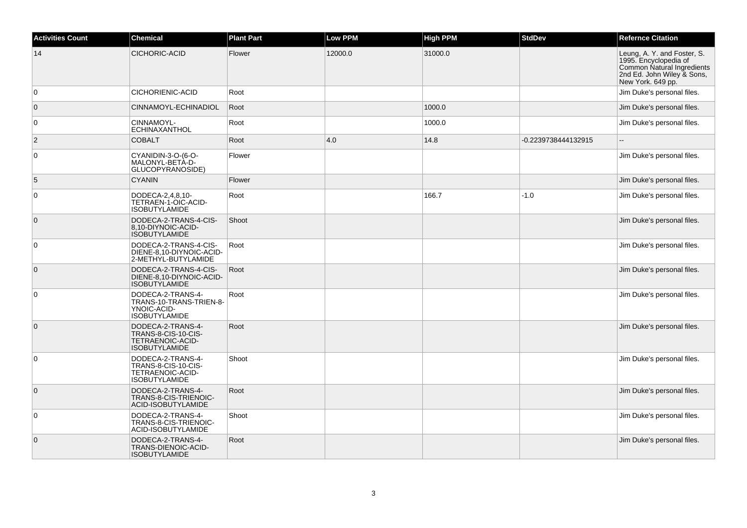| <b>Activities Count</b> | <b>Chemical</b>                                                                      | <b>Plant Part</b> | <b>Low PPM</b> | <b>High PPM</b> | <b>StdDev</b>       | <b>Refernce Citation</b>                                                                                                              |
|-------------------------|--------------------------------------------------------------------------------------|-------------------|----------------|-----------------|---------------------|---------------------------------------------------------------------------------------------------------------------------------------|
| 14                      | CICHORIC-ACID                                                                        | Flower            | 12000.0        | 31000.0         |                     | Leung, A. Y. and Foster, S.<br>1995. Encyclopedia of<br>Common Natural Ingredients<br>2nd Ed. John Wiley & Sons,<br>New York. 649 pp. |
| $\mathbf 0$             | CICHORIENIC-ACID                                                                     | Root              |                |                 |                     | Jim Duke's personal files.                                                                                                            |
| $\mathbf{0}$            | CINNAMOYL-ECHINADIOL                                                                 | Root              |                | 1000.0          |                     | Jim Duke's personal files.                                                                                                            |
| 0                       | CINNAMOYL-<br>ECHINAXANTHOL                                                          | Root              |                | 1000.0          |                     | Jim Duke's personal files.                                                                                                            |
| $\overline{2}$          | <b>COBALT</b>                                                                        | Root              | 4.0            | 14.8            | -0.2239738444132915 |                                                                                                                                       |
| $\mathbf 0$             | CYANIDIN-3-O-(6-O-<br>MALONYL-BETÀ-D-<br>GLUCOPYRANOSIDE)                            | Flower            |                |                 |                     | Jim Duke's personal files.                                                                                                            |
| 5                       | <b>CYANIN</b>                                                                        | Flower            |                |                 |                     | Jim Duke's personal files.                                                                                                            |
| 0                       | DODECA-2,4,8,10-<br>TETRAEN-1-OIC-ACID-<br><b>ISOBUTYLAMIDE</b>                      | Root              |                | 166.7           | $-1.0$              | Jim Duke's personal files.                                                                                                            |
| $\mathbf{0}$            | DODECA-2-TRANS-4-CIS-<br>8,10-DIYNOIC-ACID-<br><b>ISOBUTYLAMIDE</b>                  | Shoot             |                |                 |                     | Jim Duke's personal files.                                                                                                            |
| 0                       | DODECA-2-TRANS-4-CIS-<br>DIENE-8,10-DIYNOIC-ACID-<br>2-METHYL-BUTYLAMIDE             | Root              |                |                 |                     | Jim Duke's personal files.                                                                                                            |
| $\mathbf{0}$            | DODECA-2-TRANS-4-CIS-<br>DIENE-8,10-DIYNOIC-ACID-<br><b>ISOBUTYLAMIDE</b>            | Root              |                |                 |                     | Jim Duke's personal files.                                                                                                            |
| 0                       | DODECA-2-TRANS-4-<br>TRANS-10-TRANS-TRIEN-8-<br>YNOIC-ACID-<br><b>ISOBUTYLAMIDE</b>  | Root              |                |                 |                     | Jim Duke's personal files.                                                                                                            |
| $\mathbf{0}$            | DODECA-2-TRANS-4-<br>TRANS-8-CIS-10-CIS-<br>TETRAENOIC-ACID-<br><b>ISOBUTYLAMIDE</b> | Root              |                |                 |                     | Jim Duke's personal files.                                                                                                            |
| 0                       | DODECA-2-TRANS-4-<br>TRANS-8-CIS-10-CIS-<br>TETRAENOIC-ACID-<br><b>ISOBUTYLAMIDE</b> | Shoot             |                |                 |                     | Jim Duke's personal files.                                                                                                            |
| $\mathbf{0}$            | DODECA-2-TRANS-4-<br>TRANS-8-CIS-TRIENOIC-<br>ACID-ISOBUTYLAMIDE                     | Root              |                |                 |                     | Jim Duke's personal files.                                                                                                            |
| $\Omega$                | DODECA-2-TRANS-4-<br>TRANS-8-CIS-TRIENOIC-<br>ACID-ISOBUTYLAMIDE                     | Shoot             |                |                 |                     | Jim Duke's personal files.                                                                                                            |
| $\mathbf 0$             | DODECA-2-TRANS-4-<br>TRANS-DIENOIC-ACID-<br><b>ISOBUTYLAMIDE</b>                     | Root              |                |                 |                     | Jim Duke's personal files.                                                                                                            |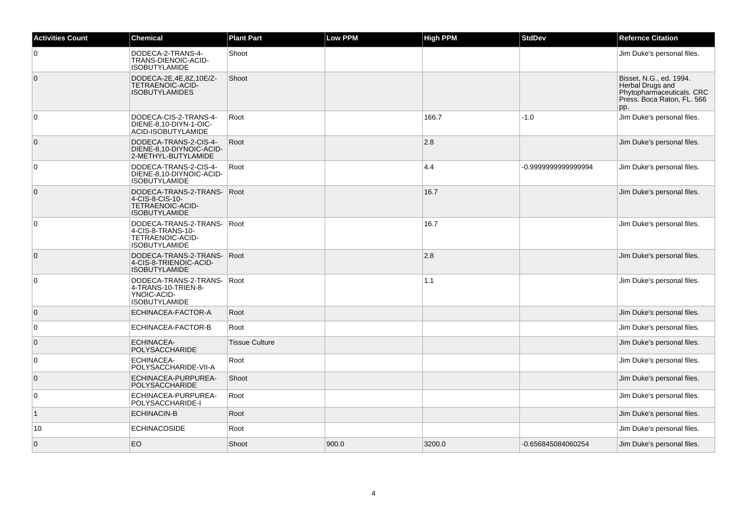| <b>Activities Count</b> | <b>Chemical</b>                                                                             | <b>Plant Part</b>     | <b>Low PPM</b> | <b>High PPM</b> | <b>StdDev</b>      | <b>Refernce Citation</b>                                                                                      |
|-------------------------|---------------------------------------------------------------------------------------------|-----------------------|----------------|-----------------|--------------------|---------------------------------------------------------------------------------------------------------------|
| 0                       | DODECA-2-TRANS-4-<br>TRANS-DIENOIC-ACID-<br><b>ISOBUTYLAMIDE</b>                            | Shoot                 |                |                 |                    | Jim Duke's personal files.                                                                                    |
| $\overline{0}$          | DODECA-2E,4E,8Z,10E/Z-<br><b>TETRAENOIC-ACID-</b><br><b>ISOBUTYLAMIDES</b>                  | Shoot                 |                |                 |                    | Bisset, N.G., ed. 1994.<br>Herbal Drugs and<br>Phytopharmaceuticals. CRC<br>Press. Boca Raton, FL. 566<br>pp. |
| $\overline{0}$          | DODECA-CIS-2-TRANS-4-<br>DIENE-8,10-DIYN-1-OIC-<br>ACID-ISOBUTYLAMIDE                       | Root                  |                | 166.7           | $-1.0$             | Jim Duke's personal files.                                                                                    |
| $\overline{0}$          | DODECA-TRANS-2-CIS-4-<br>DIENE-8,10-DIYNOIC-ACID-<br>2-METHYL-BUTYLAMIDE                    | Root                  |                | 2.8             |                    | Jim Duke's personal files.                                                                                    |
| $\overline{0}$          | DODECA-TRANS-2-CIS-4-<br>DIENE-8,10-DIYNOIC-ACID-<br><b>ISOBUTYLAMIDE</b>                   | Root                  |                | 4.4             | -0.999999999999994 | Jim Duke's personal files.                                                                                    |
| $\mathbf 0$             | DODECA-TRANS-2-TRANS-<br>4-CIS-8-CIS-10-<br>TETRAENOIC-ACID-<br><b>ISOBUTYLAMIDE</b>        | Root                  |                | 16.7            |                    | Jim Duke's personal files.                                                                                    |
| $\overline{0}$          | DODECA-TRANS-2-TRANS- Root<br>4-CIS-8-TRANS-10-<br>TETRAENOIC-ACID-<br><b>ISOBUTYLAMIDE</b> |                       |                | 16.7            |                    | Jim Duke's personal files.                                                                                    |
| $\overline{0}$          | DODECA-TRANS-2-TRANS- Root<br>4-CIS-8-TRIENOIC-ACID-<br><b>ISOBUTYLAMIDE</b>                |                       |                | 2.8             |                    | Jim Duke's personal files.                                                                                    |
| $\mathbf 0$             | DODECA-TRANS-2-TRANS-<br>4-TRANS-10-TRIEN-8-<br>YNOIC-ACID-<br><b>ISOBUTYLAMIDE</b>         | Root                  |                | 1.1             |                    | Jim Duke's personal files.                                                                                    |
| $\overline{0}$          | ECHINACEA-FACTOR-A                                                                          | Root                  |                |                 |                    | Jim Duke's personal files.                                                                                    |
| $\overline{0}$          | ECHINACEA-FACTOR-B                                                                          | Root                  |                |                 |                    | Jim Duke's personal files.                                                                                    |
| $\overline{0}$          | <b>ECHINACEA-</b><br>POLYSACCHARIDE                                                         | <b>Tissue Culture</b> |                |                 |                    | Jim Duke's personal files.                                                                                    |
| $\overline{0}$          | <b>ECHINACEA-</b><br>POLYSACCHARIDE-VII-A                                                   | Root                  |                |                 |                    | Jim Duke's personal files.                                                                                    |
| $\overline{0}$          | ECHINACEA-PURPUREA-<br>POLYSACCHARIDE                                                       | Shoot                 |                |                 |                    | Jim Duke's personal files.                                                                                    |
| $\mathbf 0$             | ECHINACEA-PURPUREA-<br>POLYSACCHARIDE-I                                                     | Root                  |                |                 |                    | Jim Duke's personal files.                                                                                    |
| $\mathbf{1}$            | <b>ECHINACIN-B</b>                                                                          | Root                  |                |                 |                    | Jim Duke's personal files.                                                                                    |
| 10                      | <b>ECHINACOSIDE</b>                                                                         | Root                  |                |                 |                    | Jim Duke's personal files.                                                                                    |
| $\overline{0}$          | <b>EO</b>                                                                                   | Shoot                 | 900.0          | 3200.0          | -0.656845084060254 | Jim Duke's personal files.                                                                                    |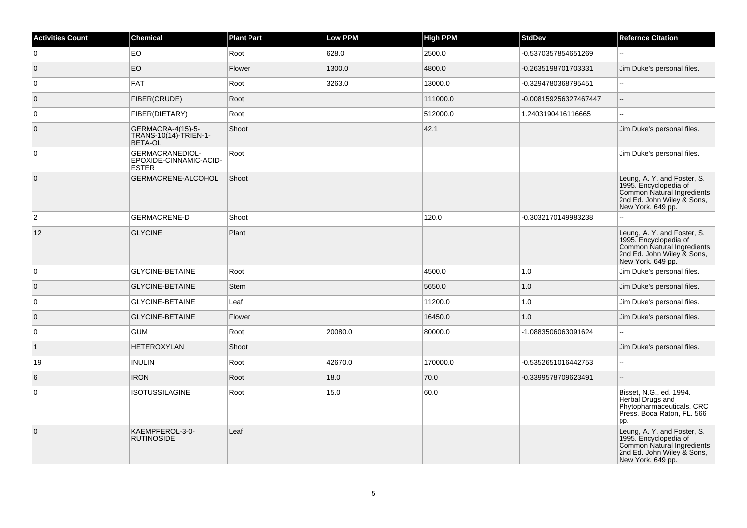| <b>Activities Count</b> | <b>Chemical</b>                                           | <b>Plant Part</b> | Low PPM | <b>High PPM</b> | <b>StdDev</b>         | <b>Refernce Citation</b>                                                                                                              |
|-------------------------|-----------------------------------------------------------|-------------------|---------|-----------------|-----------------------|---------------------------------------------------------------------------------------------------------------------------------------|
| 0                       | <b>EO</b>                                                 | Root              | 628.0   | 2500.0          | -0.5370357854651269   | ۵.                                                                                                                                    |
| $\overline{0}$          | EO                                                        | Flower            | 1300.0  | 4800.0          | -0.2635198701703331   | Jim Duke's personal files.                                                                                                            |
| $\overline{0}$          | <b>FAT</b>                                                | Root              | 3263.0  | 13000.0         | -0.3294780368795451   | Ξ.                                                                                                                                    |
| $\overline{0}$          | <b>FIBER(CRUDE)</b>                                       | Root              |         | 111000.0        | -0.008159256327467447 |                                                                                                                                       |
| $\overline{0}$          | FIBER(DIETARY)                                            | Root              |         | 512000.0        | 1.2403190416116665    | Ξ.                                                                                                                                    |
| $\overline{0}$          | GERMACRA-4(15)-5-<br>TRANS-10(14)-TRIEN-1-<br>BETA-OL     | Shoot             |         | 42.1            |                       | Jim Duke's personal files.                                                                                                            |
| 0                       | GERMACRANEDIOL-<br>EPOXIDE-CINNAMIC-ACID-<br><b>ESTER</b> | Root              |         |                 |                       | Jim Duke's personal files.                                                                                                            |
| $\overline{0}$          | GERMACRENE-ALCOHOL                                        | Shoot             |         |                 |                       | Leung, A. Y. and Foster, S.<br>1995. Encyclopedia of<br>Common Natural Ingredients<br>2nd Ed. John Wiley & Sons,<br>New York. 649 pp. |
| $\overline{2}$          | <b>GERMACRENE-D</b>                                       | Shoot             |         | 120.0           | -0.3032170149983238   |                                                                                                                                       |
| 12                      | <b>GLYCINE</b>                                            | Plant             |         |                 |                       | Leung, A. Y. and Foster, S.<br>1995. Encyclopedia of<br>Common Natural Ingredients<br>2nd Ed. John Wiley & Sons,<br>New York. 649 pp. |
| 0                       | <b>GLYCINE-BETAINE</b>                                    | Root              |         | 4500.0          | 1.0                   | Jim Duke's personal files.                                                                                                            |
| $\overline{0}$          | <b>GLYCINE-BETAINE</b>                                    | <b>Stem</b>       |         | 5650.0          | 1.0                   | Jim Duke's personal files.                                                                                                            |
| 0                       | <b>GLYCINE-BETAINE</b>                                    | Leaf              |         | 11200.0         | 1.0                   | Jim Duke's personal files.                                                                                                            |
| $\overline{0}$          | <b>GLYCINE-BETAINE</b>                                    | Flower            |         | 16450.0         | 1.0                   | Jim Duke's personal files.                                                                                                            |
| $\overline{0}$          | <b>GUM</b>                                                | Root              | 20080.0 | 80000.0         | -1.0883506063091624   | L.                                                                                                                                    |
| $\vert$ 1               | <b>HETEROXYLAN</b>                                        | Shoot             |         |                 |                       | Jim Duke's personal files.                                                                                                            |
| 19                      | <b>INULIN</b>                                             | Root              | 42670.0 | 170000.0        | -0.5352651016442753   | --                                                                                                                                    |
| $6\overline{6}$         | <b>IRON</b>                                               | Root              | 18.0    | 70.0            | -0.3399578709623491   |                                                                                                                                       |
| 0                       | <b>ISOTUSSILAGINE</b>                                     | Root              | 15.0    | 60.0            |                       | Bisset, N.G., ed. 1994.<br>Herbal Drugs and<br>Phytopharmaceuticals. CRC<br>Press. Boca Raton, FL. 566<br>pp.                         |
| $\overline{0}$          | KAEMPFEROL-3-0-<br><b>RUTINOSIDE</b>                      | Leaf              |         |                 |                       | Leung, A. Y. and Foster, S.<br>1995. Encyclopedia of<br>Common Natural Ingredients<br>2nd Ed. John Wiley & Sons,<br>New York. 649 pp. |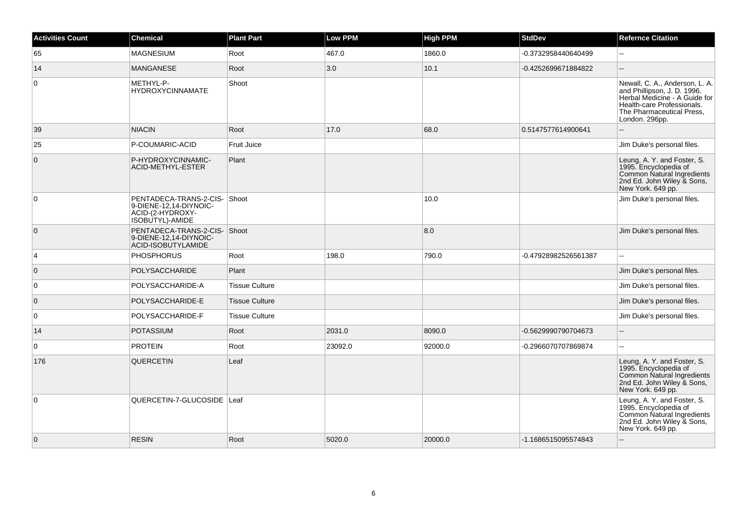| <b>Activities Count</b> | <b>Chemical</b>                                                                                | <b>Plant Part</b>     | <b>Low PPM</b> | <b>High PPM</b> | <b>StdDev</b>        | <b>Refernce Citation</b>                                                                                                                                                    |
|-------------------------|------------------------------------------------------------------------------------------------|-----------------------|----------------|-----------------|----------------------|-----------------------------------------------------------------------------------------------------------------------------------------------------------------------------|
| 65                      | <b>MAGNESIUM</b>                                                                               | Root                  | 467.0          | 1860.0          | -0.3732958440640499  | ă.                                                                                                                                                                          |
| 14                      | <b>MANGANESE</b>                                                                               | Root                  | 3.0            | 10.1            | -0.4252699671884822  |                                                                                                                                                                             |
| 0                       | METHYL-P-<br><b>HYDROXYCINNAMATE</b>                                                           | Shoot                 |                |                 |                      | Newall, C. A., Anderson, L. A.<br>and Phillipson, J. D. 1996.<br>Herbal Medicine - A Guide for<br>Health-care Professionals.<br>The Pharmaceutical Press,<br>London. 296pp. |
| 39                      | <b>NIACIN</b>                                                                                  | Root                  | 17.0           | 68.0            | 0.5147577614900641   |                                                                                                                                                                             |
| 25                      | P-COUMARIC-ACID                                                                                | Fruit Juice           |                |                 |                      | Jim Duke's personal files.                                                                                                                                                  |
| $\overline{0}$          | P-HYDROXYCINNAMIC-<br><b>ACID-METHYL-ESTER</b>                                                 | Plant                 |                |                 |                      | Leung, A. Y. and Foster, S.<br>1995. Encyclopedia of<br>Common Natural Ingredients<br>2nd Ed. John Wiley & Sons,<br>New York. 649 pp.                                       |
| $\overline{0}$          | PENTADECA-TRANS-2-CIS- Shoot<br>9-DIENE-12,14-DIYNOIC-<br>ACID-(2-HYDROXY-<br> ISOBÙTYL)-AMIDE |                       |                | 10.0            |                      | Jim Duke's personal files.                                                                                                                                                  |
| $\overline{0}$          | PENTADECA-TRANS-2-CIS- Shoot<br>9-DIENE-12.14-DIYNOIC-<br>ACID-ISOBÚTYLAMIDE                   |                       |                | 8.0             |                      | Jim Duke's personal files.                                                                                                                                                  |
| $\overline{4}$          | <b>PHOSPHORUS</b>                                                                              | Root                  | 198.0          | 790.0           | -0.47928982526561387 | $\overline{\phantom{a}}$                                                                                                                                                    |
| $\overline{0}$          | POLYSACCHARIDE                                                                                 | Plant                 |                |                 |                      | Jim Duke's personal files.                                                                                                                                                  |
| 0                       | POLYSACCHARIDE-A                                                                               | <b>Tissue Culture</b> |                |                 |                      | Jim Duke's personal files.                                                                                                                                                  |
| $\overline{0}$          | POLYSACCHARIDE-E                                                                               | <b>Tissue Culture</b> |                |                 |                      | Jim Duke's personal files.                                                                                                                                                  |
| $\overline{0}$          | POLYSACCHARIDE-F                                                                               | <b>Tissue Culture</b> |                |                 |                      | Jim Duke's personal files.                                                                                                                                                  |
| 14                      | <b>POTASSIUM</b>                                                                               | Root                  | 2031.0         | 8090.0          | -0.5629990790704673  | $-$                                                                                                                                                                         |
| $\overline{0}$          | <b>PROTEIN</b>                                                                                 | Root                  | 23092.0        | 92000.0         | -0.2966070707869874  | L.                                                                                                                                                                          |
| 176                     | <b>QUERCETIN</b>                                                                               | Leaf                  |                |                 |                      | Leung, A. Y. and Foster, S.<br>1995. Encyclopedia of<br>Common Natural Ingredients<br>2nd Ed. John Wiley & Sons,<br>New York. 649 pp.                                       |
| $\overline{0}$          | QUERCETIN-7-GLUCOSIDE Leaf                                                                     |                       |                |                 |                      | Leung, A. Y. and Foster, S.<br>1995. Encyclopedia of<br>Common Natural Ingredients<br>2nd Ed. John Wiley & Sons,<br>New York. 649 pp.                                       |
| $\overline{0}$          | <b>RESIN</b>                                                                                   | Root                  | 5020.0         | 20000.0         | -1.1686515095574843  |                                                                                                                                                                             |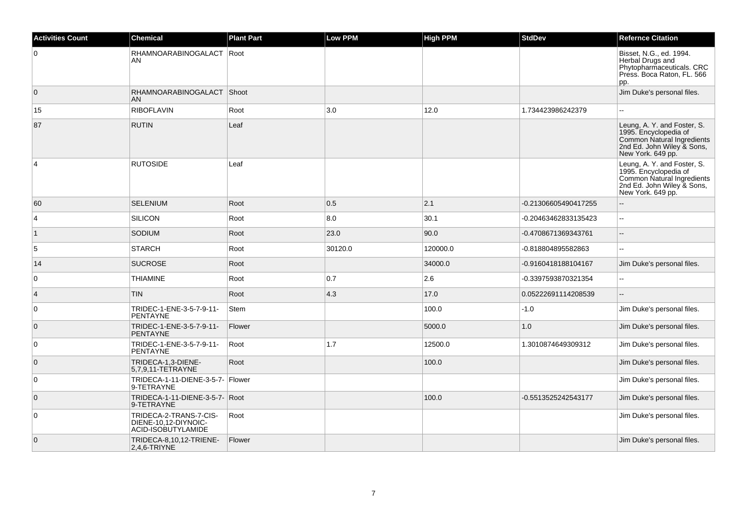| <b>Activities Count</b> | <b>Chemical</b>                                                      | <b>Plant Part</b> | <b>Low PPM</b> | <b>High PPM</b> | <b>StdDev</b>        | <b>Refernce Citation</b>                                                                                                              |
|-------------------------|----------------------------------------------------------------------|-------------------|----------------|-----------------|----------------------|---------------------------------------------------------------------------------------------------------------------------------------|
| 0                       | RHAMNOARABINOGALACT   Root<br>AN                                     |                   |                |                 |                      | Bisset, N.G., ed. 1994.<br>Herbal Drugs and<br>Phytopharmaceuticals. CRC<br>Press. Boca Raton, FL. 566<br>pp.                         |
| $\overline{0}$          | RHAMNOARABINOGALACT Shoot<br><b>AN</b>                               |                   |                |                 |                      | Jim Duke's personal files.                                                                                                            |
| 15                      | <b>RIBOFLAVIN</b>                                                    | Root              | 3.0            | 12.0            | 1.734423986242379    |                                                                                                                                       |
| 87                      | <b>RUTIN</b>                                                         | Leaf              |                |                 |                      | Leung, A. Y. and Foster, S.<br>1995. Encyclopedia of<br>Common Natural Ingredients<br>2nd Ed. John Wiley & Sons,<br>New York. 649 pp. |
| $\overline{4}$          | <b>RUTOSIDE</b>                                                      | Leaf              |                |                 |                      | Leung, A. Y. and Foster, S.<br>1995. Encyclopedia of<br>Common Natural Ingredients<br>2nd Ed. John Wiley & Sons,<br>New York. 649 pp. |
| 60                      | <b>SELENIUM</b>                                                      | Root              | 0.5            | 2.1             | -0.21306605490417255 |                                                                                                                                       |
| $\overline{4}$          | SILICON                                                              | Root              | 8.0            | 30.1            | -0.20463462833135423 | $\sim$                                                                                                                                |
| $\overline{1}$          | SODIUM                                                               | Root              | 23.0           | 90.0            | -0.4708671369343761  |                                                                                                                                       |
| 5                       | <b>STARCH</b>                                                        | Root              | 30120.0        | 120000.0        | -0.818804895582863   | $\sim$                                                                                                                                |
| 14                      | <b>SUCROSE</b>                                                       | Root              |                | 34000.0         | -0.9160418188104167  | Jim Duke's personal files.                                                                                                            |
| 0                       | <b>THIAMINE</b>                                                      | Root              | 0.7            | 2.6             | -0.3397593870321354  |                                                                                                                                       |
| $\overline{4}$          | <b>TIN</b>                                                           | Root              | 4.3            | 17.0            | 0.05222691114208539  | $\overline{\phantom{a}}$                                                                                                              |
| 0                       | TRIDEC-1-ENE-3-5-7-9-11-<br>PENTAYNE                                 | Stem              |                | 100.0           | -1.0                 | Jim Duke's personal files.                                                                                                            |
| $\overline{0}$          | TRIDEC-1-ENE-3-5-7-9-11-<br><b>PENTAYNE</b>                          | Flower            |                | 5000.0          | 1.0                  | Jim Duke's personal files.                                                                                                            |
| $\overline{0}$          | TRIDEC-1-ENE-3-5-7-9-11-<br>PENTAYNE                                 | Root              | 1.7            | 12500.0         | 1.3010874649309312   | Jim Duke's personal files.                                                                                                            |
| $\overline{0}$          | TRIDECA-1,3-DIENE-<br>5,7,9,11-TETRAYNE                              | Root              |                | 100.0           |                      | Jim Duke's personal files.                                                                                                            |
| $\overline{0}$          | TRIDECA-1-11-DIENE-3-5-7- Flower<br>9-TETRAYNE                       |                   |                |                 |                      | Jim Duke's personal files.                                                                                                            |
| $\overline{0}$          | TRIDECA-1-11-DIENE-3-5-7- Root<br>9-TETRAYNE                         |                   |                | 100.0           | -0.5513525242543177  | Jim Duke's personal files.                                                                                                            |
| 0                       | TRIDECA-2-TRANS-7-CIS-<br>DIENE-10,12-DIYNOIC-<br>ACID-ISOBUTYLAMIDE | Root              |                |                 |                      | Jim Duke's personal files.                                                                                                            |
| $\overline{0}$          | TRIDECA-8,10,12-TRIENE-<br>2,4,6-TRIYNE                              | Flower            |                |                 |                      | Jim Duke's personal files.                                                                                                            |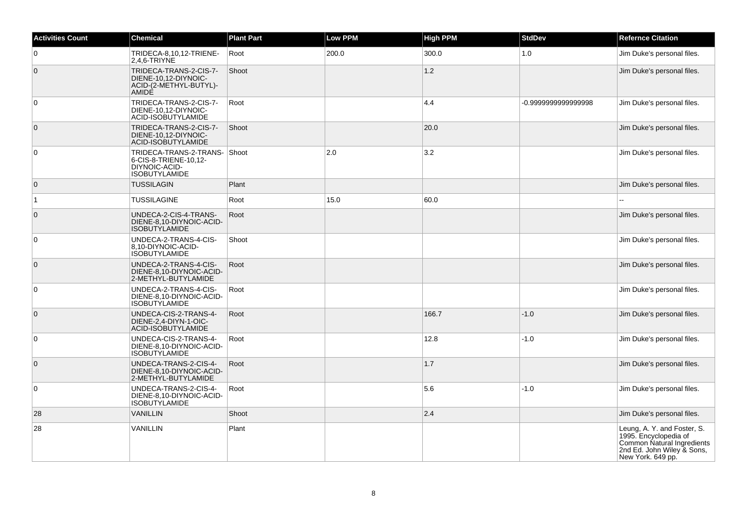| <b>Activities Count</b> | <b>Chemical</b>                                                                               | <b>Plant Part</b> | Low PPM | <b>High PPM</b> | <b>StdDev</b>      | <b>Refernce Citation</b>                                                                                                              |
|-------------------------|-----------------------------------------------------------------------------------------------|-------------------|---------|-----------------|--------------------|---------------------------------------------------------------------------------------------------------------------------------------|
| $\overline{0}$          | TRIDECA-8,10,12-TRIENE-<br>2,4,6-TRIYNE                                                       | Root              | 200.0   | 300.0           | 1.0                | Jim Duke's personal files.                                                                                                            |
| $\overline{0}$          | TRIDECA-TRANS-2-CIS-7-<br>DIENE-10,12-DIYNOIC-<br>ACID-(2-METHYL-BUTYL)-<br>AMIDE             | Shoot             |         | 1.2             |                    | Jim Duke's personal files.                                                                                                            |
| $\overline{0}$          | TRIDECA-TRANS-2-CIS-7-<br>DIENE-10.12-DIYNOIC-<br>ACID-ISOBUTYLAMIDE                          | Root              |         | 4.4             | -0.999999999999998 | Jim Duke's personal files.                                                                                                            |
| $\overline{0}$          | TRIDECA-TRANS-2-CIS-7-<br>DIENE-10.12-DIYNOIC-<br>ACID-ISOBUTYLAMIDE                          | Shoot             |         | 20.0            |                    | Jim Duke's personal files.                                                                                                            |
| $\overline{0}$          | TRIDECA-TRANS-2-TRANS-Shoot<br>6-CIS-8-TRIENE-10,12-<br>DIYNOIC-ACID-<br><b>ISOBUTYLAMIDE</b> |                   | 2.0     | 3.2             |                    | Jim Duke's personal files.                                                                                                            |
| $\overline{0}$          | <b>TUSSILAGIN</b>                                                                             | Plant             |         |                 |                    | Jim Duke's personal files.                                                                                                            |
| $\overline{1}$          | <b>TUSSILAGINE</b>                                                                            | Root              | 15.0    | 60.0            |                    |                                                                                                                                       |
| $\overline{0}$          | UNDECA-2-CIS-4-TRANS-<br>DIENE-8,10-DIYNOIC-ACID-<br><b>ISOBUTYLAMIDE</b>                     | Root              |         |                 |                    | Jim Duke's personal files.                                                                                                            |
| 0                       | UNDECA-2-TRANS-4-CIS-<br>8,10-DIYNOIC-ACID-<br><b>ISOBUTYLAMIDE</b>                           | Shoot             |         |                 |                    | Jim Duke's personal files.                                                                                                            |
| $\overline{0}$          | UNDECA-2-TRANS-4-CIS-<br>DIENE-8,10-DIYNOIC-ACID-<br>2-METHYL-BUTYLAMIDE                      | Root              |         |                 |                    | Jim Duke's personal files.                                                                                                            |
| $\overline{0}$          | UNDECA-2-TRANS-4-CIS-<br>DIENE-8,10-DIYNOIC-ACID-<br><b>ISOBUTYLAMIDE</b>                     | Root              |         |                 |                    | Jim Duke's personal files.                                                                                                            |
| $\overline{0}$          | UNDECA-CIS-2-TRANS-4-<br>DIENE-2,4-DIYN-1-OIC-<br>ACID-ISOBUTYLAMIDE                          | Root              |         | 166.7           | $-1.0$             | Jim Duke's personal files.                                                                                                            |
| 0                       | UNDECA-CIS-2-TRANS-4-<br>DIENE-8,10-DIYNOIC-ACID-<br><b>ISOBUTYLAMIDE</b>                     | Root              |         | 12.8            | $-1.0$             | Jim Duke's personal files.                                                                                                            |
| $\overline{0}$          | UNDECA-TRANS-2-CIS-4-<br>DIENE-8,10-DIYNOIC-ACID-<br>2-METHYL-BUTYLAMIDE                      | Root              |         | 1.7             |                    | Jim Duke's personal files.                                                                                                            |
| 0                       | UNDECA-TRANS-2-CIS-4-<br>DIENE-8.10-DIYNOIC-ACID-<br><b>ISOBUTYLAMIDE</b>                     | Root              |         | 5.6             | $-1.0$             | Jim Duke's personal files.                                                                                                            |
| 28                      | <b>VANILLIN</b>                                                                               | Shoot             |         | 2.4             |                    | Jim Duke's personal files.                                                                                                            |
| 28                      | VANILLIN                                                                                      | Plant             |         |                 |                    | Leung, A. Y. and Foster, S.<br>1995. Encyclopedia of<br>Common Natural Ingredients<br>2nd Ed. John Wiley & Sons,<br>New York. 649 pp. |